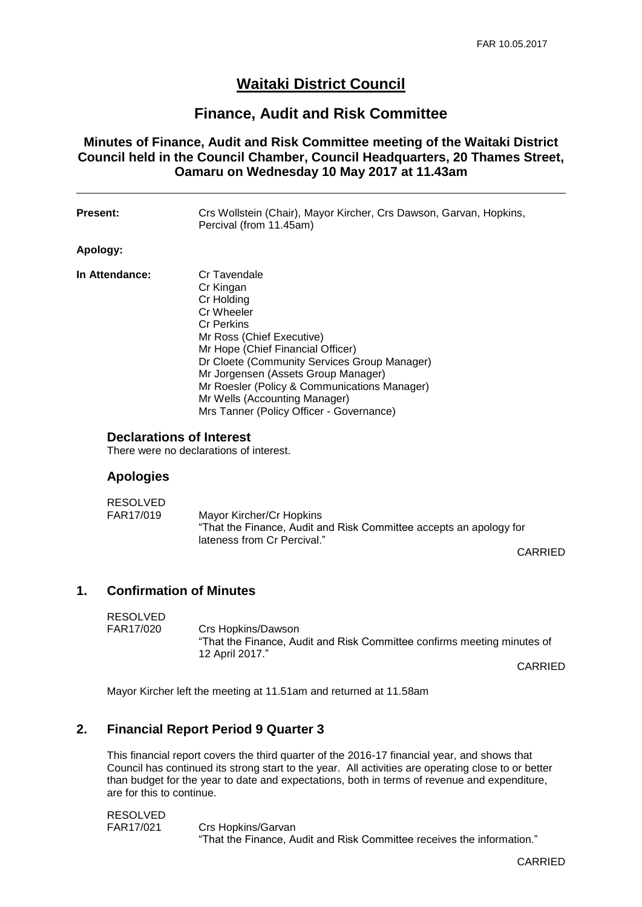# **Waitaki District Council**

# **Finance, Audit and Risk Committee**

## **Minutes of Finance, Audit and Risk Committee meeting of the Waitaki District Council held in the Council Chamber, Council Headquarters, 20 Thames Street, Oamaru on Wednesday 10 May 2017 at 11.43am**

| Present:                        | Crs Wollstein (Chair), Mayor Kircher, Crs Dawson, Garvan, Hopkins,<br>Percival (from 11.45am)                                                                                                                                                                                                                                                                    |
|---------------------------------|------------------------------------------------------------------------------------------------------------------------------------------------------------------------------------------------------------------------------------------------------------------------------------------------------------------------------------------------------------------|
| Apology:                        |                                                                                                                                                                                                                                                                                                                                                                  |
| In Attendance:                  | Cr Tavendale<br>Cr Kingan<br>Cr Holding<br>Cr Wheeler<br><b>Cr Perkins</b><br>Mr Ross (Chief Executive)<br>Mr Hope (Chief Financial Officer)<br>Dr Cloete (Community Services Group Manager)<br>Mr Jorgensen (Assets Group Manager)<br>Mr Roesler (Policy & Communications Manager)<br>Mr Wells (Accounting Manager)<br>Mrs Tanner (Policy Officer - Governance) |
| <b>Declarations of Interest</b> |                                                                                                                                                                                                                                                                                                                                                                  |

There were no declarations of interest.

#### **Apologies**

| RESOLVED  |                                                                    |  |
|-----------|--------------------------------------------------------------------|--|
| FAR17/019 | Mayor Kircher/Cr Hopkins                                           |  |
|           | "That the Finance, Audit and Risk Committee accepts an apology for |  |
|           | lateness from Cr Percival."                                        |  |

CARRIED

#### **1. Confirmation of Minutes**

RESOLVED FAR17/020 Crs Hopkins/Dawson "That the Finance, Audit and Risk Committee confirms meeting minutes of 12 April 2017."

CARRIED

Mayor Kircher left the meeting at 11.51am and returned at 11.58am

#### **2. Financial Report Period 9 Quarter 3**

This financial report covers the third quarter of the 2016-17 financial year, and shows that Council has continued its strong start to the year. All activities are operating close to or better than budget for the year to date and expectations, both in terms of revenue and expenditure, are for this to continue.

RESOLVED FAR17/021 Crs Hopkins/Garvan "That the Finance, Audit and Risk Committee receives the information."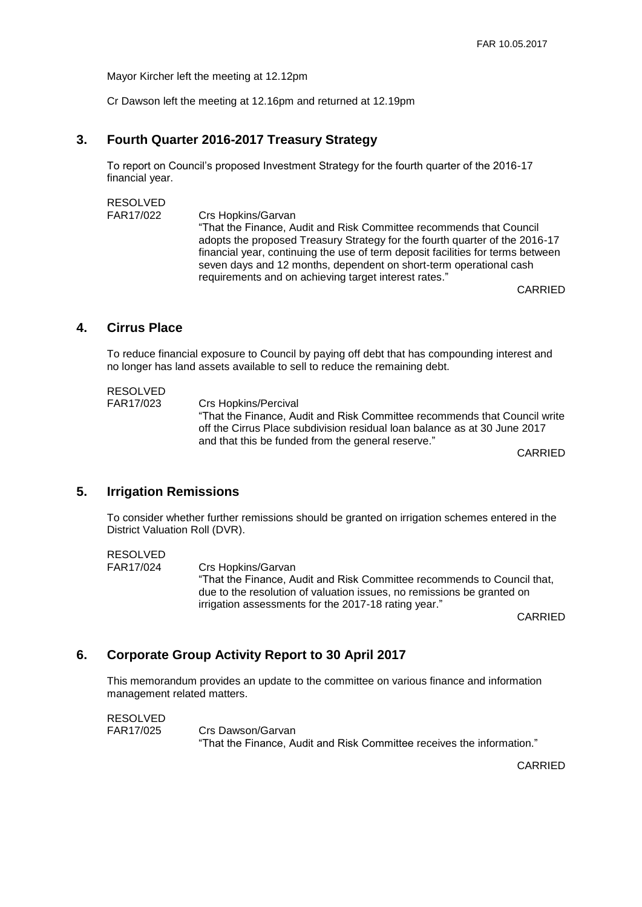Mayor Kircher left the meeting at 12.12pm

Cr Dawson left the meeting at 12.16pm and returned at 12.19pm

#### **3. Fourth Quarter 2016-2017 Treasury Strategy**

To report on Council's proposed Investment Strategy for the fourth quarter of the 2016-17 financial year.

RESOLVED FAR17/022 Crs Hopkins/Garvan "That the Finance, Audit and Risk Committee recommends that Council adopts the proposed Treasury Strategy for the fourth quarter of the 2016-17 financial year, continuing the use of term deposit facilities for terms between seven days and 12 months, dependent on short-term operational cash requirements and on achieving target interest rates."

CARRIED

## **4. Cirrus Place**

To reduce financial exposure to Council by paying off debt that has compounding interest and no longer has land assets available to sell to reduce the remaining debt.

RESOLVED FAR17/023 Crs Hopkins/Percival "That the Finance, Audit and Risk Committee recommends that Council write off the Cirrus Place subdivision residual loan balance as at 30 June 2017 and that this be funded from the general reserve."

CARRIED

#### **5. Irrigation Remissions**

To consider whether further remissions should be granted on irrigation schemes entered in the District Valuation Roll (DVR).

RESOLVED FAR17/024 Crs Hopkins/Garvan "That the Finance, Audit and Risk Committee recommends to Council that, due to the resolution of valuation issues, no remissions be granted on irrigation assessments for the 2017-18 rating year."

CARRIED

#### **6. Corporate Group Activity Report to 30 April 2017**

This memorandum provides an update to the committee on various finance and information management related matters.

RESOLVED FAR17/025 Crs Dawson/Garvan "That the Finance, Audit and Risk Committee receives the information."

CARRIED